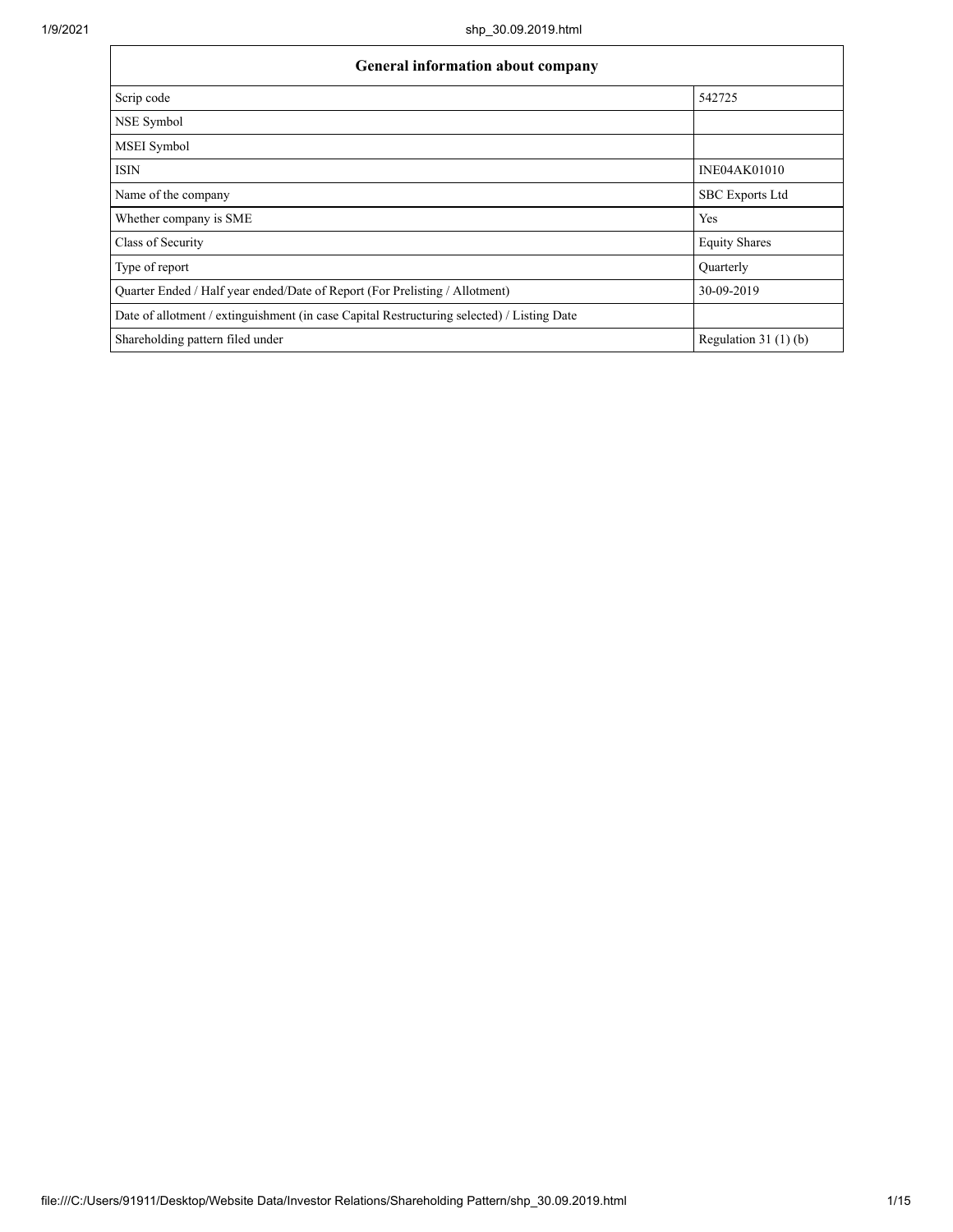Г

| <b>General information about company</b>                                                   |                        |  |  |  |  |
|--------------------------------------------------------------------------------------------|------------------------|--|--|--|--|
| Scrip code                                                                                 | 542725                 |  |  |  |  |
| NSE Symbol                                                                                 |                        |  |  |  |  |
| MSEI Symbol                                                                                |                        |  |  |  |  |
| <b>ISIN</b>                                                                                | <b>INE04AK01010</b>    |  |  |  |  |
| Name of the company                                                                        | <b>SBC</b> Exports Ltd |  |  |  |  |
| Whether company is SME                                                                     | Yes                    |  |  |  |  |
| Class of Security                                                                          | <b>Equity Shares</b>   |  |  |  |  |
| Type of report                                                                             | Ouarterly              |  |  |  |  |
| Quarter Ended / Half year ended/Date of Report (For Prelisting / Allotment)                | 30-09-2019             |  |  |  |  |
| Date of allotment / extinguishment (in case Capital Restructuring selected) / Listing Date |                        |  |  |  |  |
| Shareholding pattern filed under                                                           | Regulation 31 $(1)(b)$ |  |  |  |  |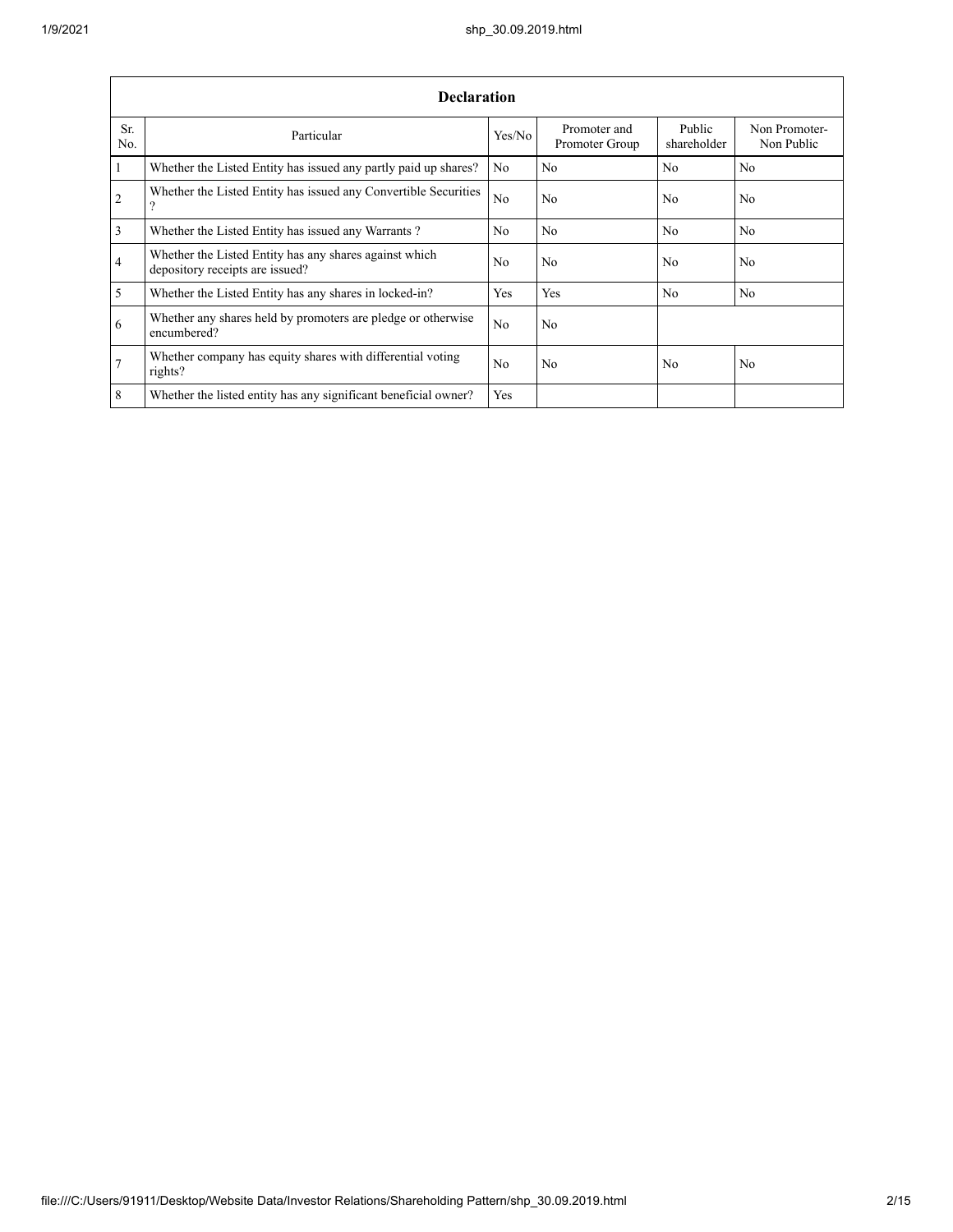|                 | <b>Declaration</b>                                                                        |                |                                |                       |                             |  |  |  |
|-----------------|-------------------------------------------------------------------------------------------|----------------|--------------------------------|-----------------------|-----------------------------|--|--|--|
| Sr.<br>No.      | Particular                                                                                | Yes/No         | Promoter and<br>Promoter Group | Public<br>shareholder | Non Promoter-<br>Non Public |  |  |  |
| $\mathbf{1}$    | Whether the Listed Entity has issued any partly paid up shares?                           | No             | No                             | No                    | N <sub>o</sub>              |  |  |  |
| 2               | Whether the Listed Entity has issued any Convertible Securities<br>?                      | N <sub>0</sub> | No.                            | N <sub>0</sub>        | No                          |  |  |  |
| $\overline{3}$  | Whether the Listed Entity has issued any Warrants?                                        | N <sub>0</sub> | No.                            | No                    | N <sub>o</sub>              |  |  |  |
| $\overline{4}$  | Whether the Listed Entity has any shares against which<br>depository receipts are issued? | No             | No                             | No                    | No                          |  |  |  |
| $\overline{5}$  | Whether the Listed Entity has any shares in locked-in?                                    | Yes            | Yes                            | No                    | No                          |  |  |  |
| 6               | Whether any shares held by promoters are pledge or otherwise<br>encumbered?               | No             | No                             |                       |                             |  |  |  |
| $7\phantom{.0}$ | Whether company has equity shares with differential voting<br>rights?                     | N <sub>0</sub> | No                             | No                    | No                          |  |  |  |
| 8               | Whether the listed entity has any significant beneficial owner?                           | Yes            |                                |                       |                             |  |  |  |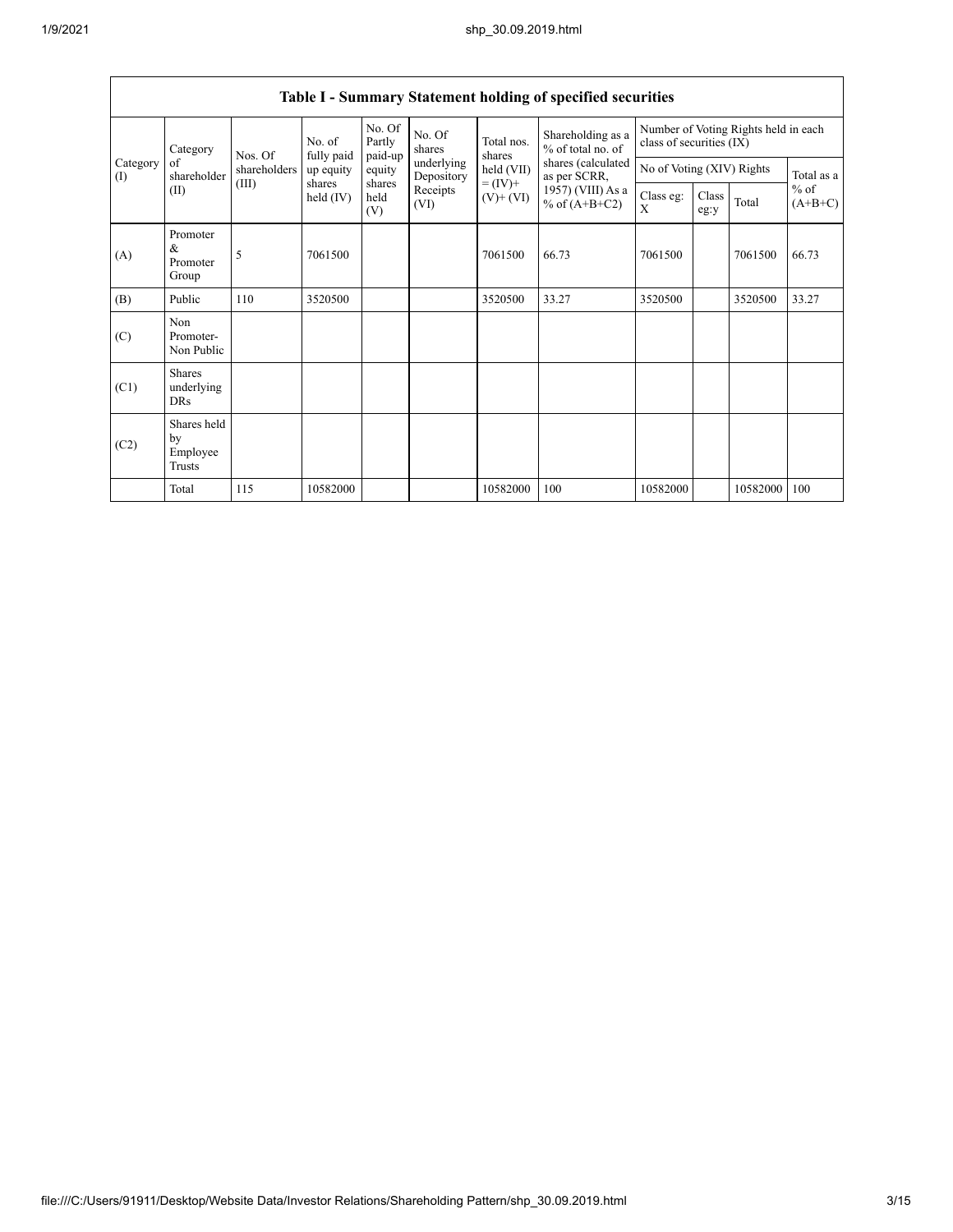| Category        |                                                                                                                                                           | No. of<br>Nos. Of | fully paid    | No. Of<br>Partly<br>paid-up | No. Of<br>shares         | Total nos.<br>shares       | Shareholding as a<br>% of total no. of | Number of Voting Rights held in each<br>class of securities (IX) |  |          |            |
|-----------------|-----------------------------------------------------------------------------------------------------------------------------------------------------------|-------------------|---------------|-----------------------------|--------------------------|----------------------------|----------------------------------------|------------------------------------------------------------------|--|----------|------------|
| Category<br>(I) | of<br>shareholder                                                                                                                                         | shareholders      | up equity     | equity                      | underlying<br>Depository | held (VII)<br>as per SCRR, | shares (calculated                     | No of Voting (XIV) Rights                                        |  |          | Total as a |
|                 | $= (IV) +$<br>(III)<br>shares<br>shares<br>1957) (VIII) As a<br>Receipts<br>(II)<br>held (IV)<br>held<br>$(V)$ + $(VI)$<br>% of $(A+B+C2)$<br>(VI)<br>(V) | Class eg:<br>X    | Class<br>eg:y | Total                       | $%$ of<br>$(A+B+C)$      |                            |                                        |                                                                  |  |          |            |
| (A)             | Promoter<br>&<br>Promoter<br>Group                                                                                                                        | 5                 | 7061500       |                             |                          | 7061500                    | 66.73                                  | 7061500                                                          |  | 7061500  | 66.73      |
| (B)             | Public                                                                                                                                                    | 110               | 3520500       |                             |                          | 3520500                    | 33.27                                  | 3520500                                                          |  | 3520500  | 33.27      |
| (C)             | Non<br>Promoter-<br>Non Public                                                                                                                            |                   |               |                             |                          |                            |                                        |                                                                  |  |          |            |
| (C1)            | <b>Shares</b><br>underlying<br><b>DRs</b>                                                                                                                 |                   |               |                             |                          |                            |                                        |                                                                  |  |          |            |
| (C2)            | Shares held<br>by<br>Employee<br>Trusts                                                                                                                   |                   |               |                             |                          |                            |                                        |                                                                  |  |          |            |
|                 | Total                                                                                                                                                     | 115               | 10582000      |                             |                          | 10582000                   | 100                                    | 10582000                                                         |  | 10582000 | 100        |

## **Table I - Summary Statement holding of specified securities**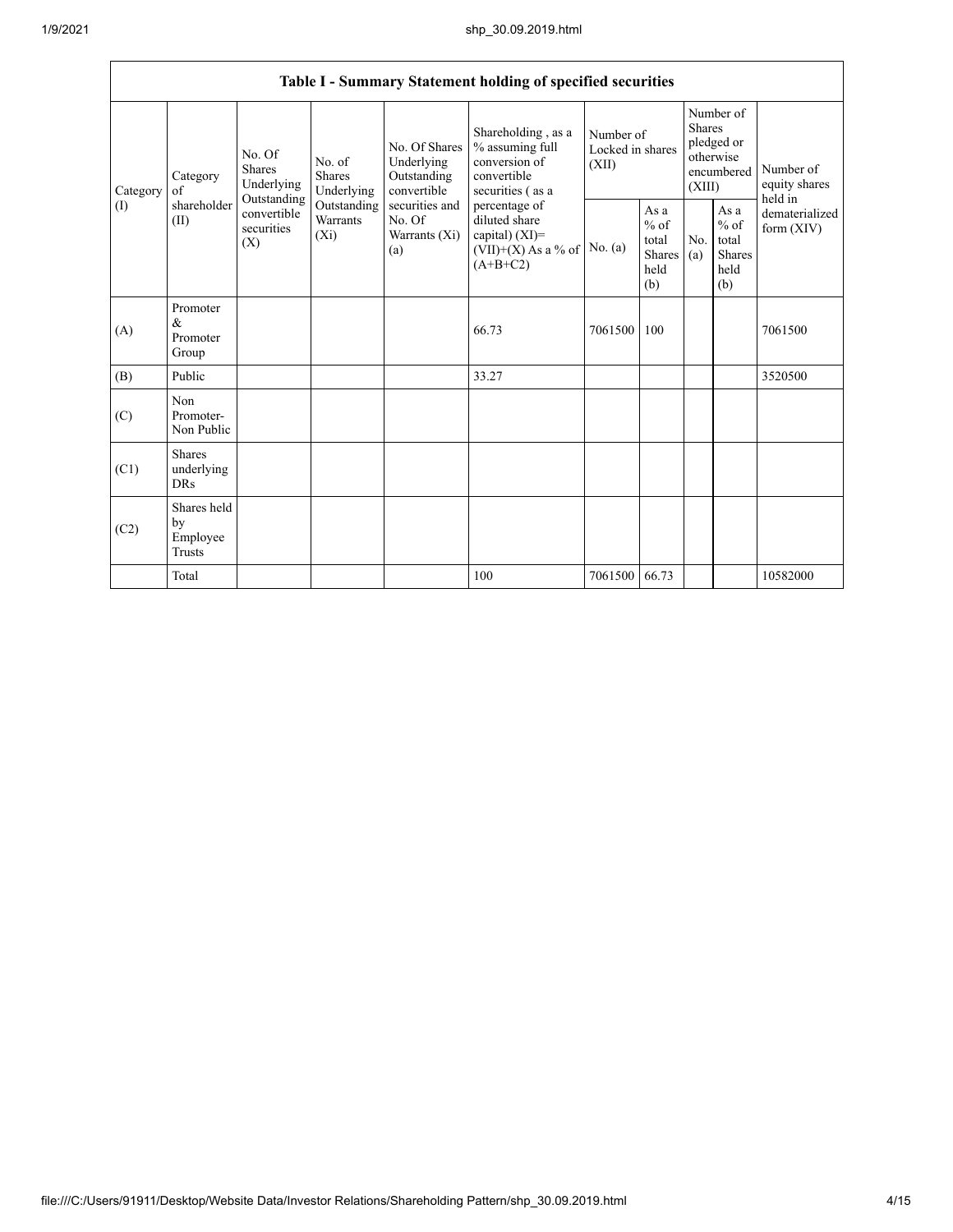|                            | Table I - Summary Statement holding of specified securities |                                                                          |                                    |                                                           |                                                                                            |                                        |                                                  |                                                                               |                                                         |                                       |
|----------------------------|-------------------------------------------------------------|--------------------------------------------------------------------------|------------------------------------|-----------------------------------------------------------|--------------------------------------------------------------------------------------------|----------------------------------------|--------------------------------------------------|-------------------------------------------------------------------------------|---------------------------------------------------------|---------------------------------------|
|                            |                                                             |                                                                          |                                    |                                                           |                                                                                            |                                        |                                                  |                                                                               |                                                         |                                       |
| Category<br>of<br>Category |                                                             | No. Of<br>No. of<br><b>Shares</b><br>Shares<br>Underlying<br>Outstanding | Underlying                         | No. Of Shares<br>Underlying<br>Outstanding<br>convertible | Shareholding, as a<br>% assuming full<br>conversion of<br>convertible<br>securities (as a  | Number of<br>Locked in shares<br>(XII) |                                                  | Number of<br><b>Shares</b><br>pledged or<br>otherwise<br>encumbered<br>(XIII) |                                                         | Number of<br>equity shares<br>held in |
| (1)                        | shareholder<br>(II)                                         | convertible<br>securities<br>(X)                                         | Outstanding<br>Warrants<br>$(X_i)$ | securities and<br>No. Of<br>Warrants (Xi)<br>(a)          | percentage of<br>diluted share<br>capital) $(XI)$ =<br>$(VII)+(X)$ As a % of<br>$(A+B+C2)$ | No. (a)                                | As a<br>$%$ of<br>total<br>Shares<br>held<br>(b) | No.<br>(a)                                                                    | As a<br>$%$ of<br>total<br><b>Shares</b><br>held<br>(b) | dematerialized<br>form $(XIV)$        |
| (A)                        | Promoter<br>&<br>Promoter<br>Group                          |                                                                          |                                    |                                                           | 66.73                                                                                      | 7061500                                | 100                                              |                                                                               |                                                         | 7061500                               |
| (B)                        | Public                                                      |                                                                          |                                    |                                                           | 33.27                                                                                      |                                        |                                                  |                                                                               |                                                         | 3520500                               |
| (C)                        | Non<br>Promoter-<br>Non Public                              |                                                                          |                                    |                                                           |                                                                                            |                                        |                                                  |                                                                               |                                                         |                                       |
| (C1)                       | <b>Shares</b><br>underlying<br><b>DRs</b>                   |                                                                          |                                    |                                                           |                                                                                            |                                        |                                                  |                                                                               |                                                         |                                       |
| (C2)                       | Shares held<br>by<br>Employee<br>Trusts                     |                                                                          |                                    |                                                           |                                                                                            |                                        |                                                  |                                                                               |                                                         |                                       |
|                            | Total                                                       |                                                                          |                                    |                                                           | 100                                                                                        | 7061500                                | 66.73                                            |                                                                               |                                                         | 10582000                              |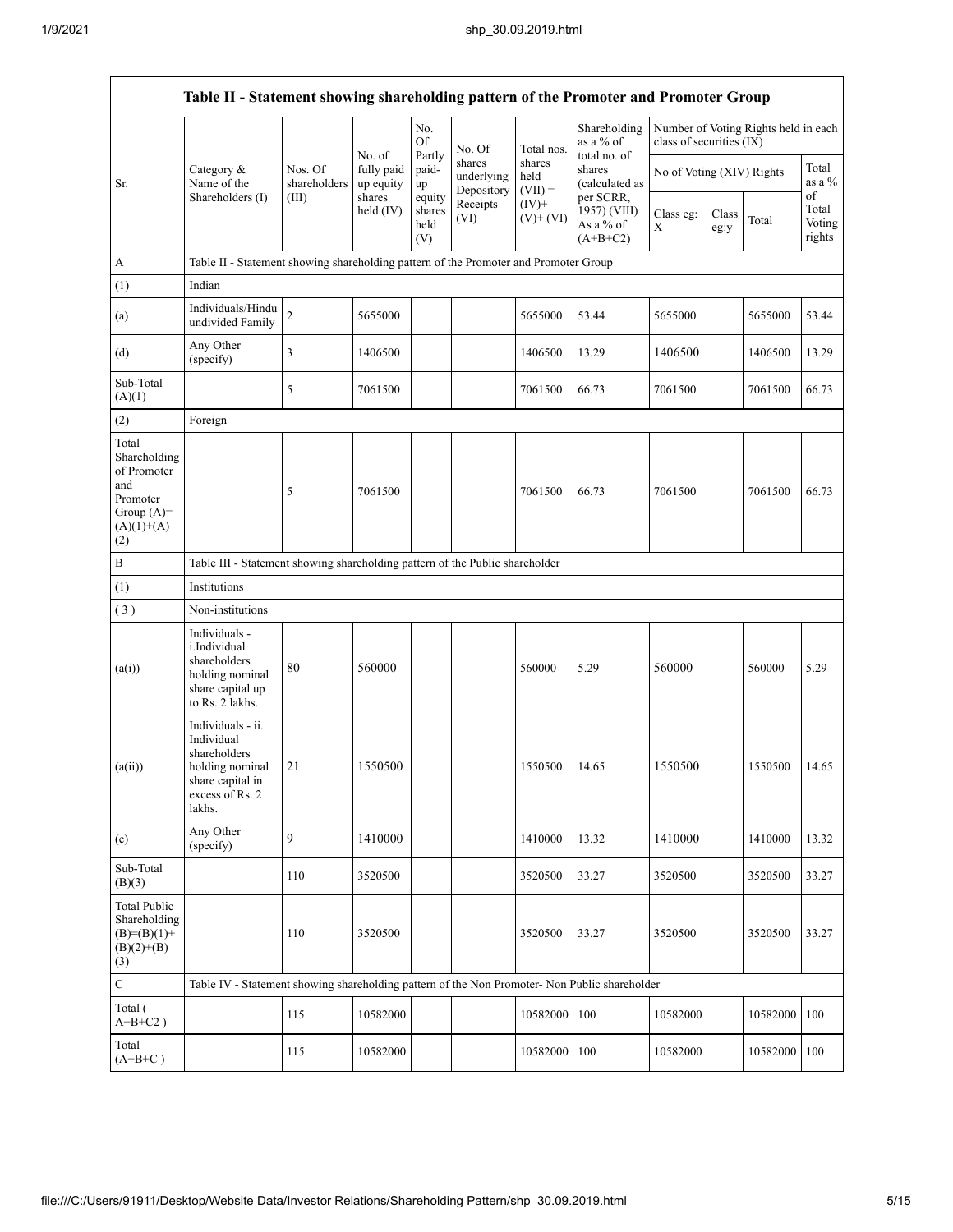|                                                                                                | Table II - Statement showing shareholding pattern of the Promoter and Promoter Group                                |                                                                                      |                                   |                                 |                                    |                             |                                                      |                           |               |                                      |                                 |
|------------------------------------------------------------------------------------------------|---------------------------------------------------------------------------------------------------------------------|--------------------------------------------------------------------------------------|-----------------------------------|---------------------------------|------------------------------------|-----------------------------|------------------------------------------------------|---------------------------|---------------|--------------------------------------|---------------------------------|
|                                                                                                |                                                                                                                     |                                                                                      |                                   | No.<br>Of                       | No. Of                             | Total nos.                  | Shareholding<br>as a % of                            | class of securities (IX)  |               | Number of Voting Rights held in each |                                 |
| Sr.                                                                                            | Category &<br>Name of the                                                                                           | Nos. Of<br>shareholders                                                              | No. of<br>fully paid<br>up equity | Partly<br>paid-<br>up           | shares<br>underlying<br>Depository | shares<br>held<br>$(VII) =$ | total no. of<br>shares<br>(calculated as             | No of Voting (XIV) Rights |               |                                      | Total<br>as a %                 |
|                                                                                                | Shareholders (I)                                                                                                    | (III)                                                                                | shares<br>held $(IV)$             | equity<br>shares<br>held<br>(V) | Receipts<br>(VI)                   | $(IV)$ +<br>$(V)+(VI)$      | per SCRR,<br>1957) (VIII)<br>As a % of<br>$(A+B+C2)$ | Class eg:<br>Χ            | Class<br>eg:y | Total                                | of<br>Total<br>Voting<br>rights |
| $\boldsymbol{A}$                                                                               |                                                                                                                     | Table II - Statement showing shareholding pattern of the Promoter and Promoter Group |                                   |                                 |                                    |                             |                                                      |                           |               |                                      |                                 |
| (1)                                                                                            | Indian                                                                                                              |                                                                                      |                                   |                                 |                                    |                             |                                                      |                           |               |                                      |                                 |
| (a)                                                                                            | Individuals/Hindu<br>undivided Family                                                                               | $\overline{c}$                                                                       | 5655000                           |                                 |                                    | 5655000                     | 53.44                                                | 5655000                   |               | 5655000                              | 53.44                           |
| (d)                                                                                            | Any Other<br>(specify)                                                                                              | 3                                                                                    | 1406500                           |                                 |                                    | 1406500                     | 13.29                                                | 1406500                   |               | 1406500                              | 13.29                           |
| Sub-Total<br>(A)(1)                                                                            |                                                                                                                     | 5                                                                                    | 7061500                           |                                 |                                    | 7061500                     | 66.73                                                | 7061500                   |               | 7061500                              | 66.73                           |
| (2)                                                                                            | Foreign                                                                                                             |                                                                                      |                                   |                                 |                                    |                             |                                                      |                           |               |                                      |                                 |
| Total<br>Shareholding<br>of Promoter<br>and<br>Promoter<br>Group $(A)=$<br>$(A)(1)+(A)$<br>(2) |                                                                                                                     | 5                                                                                    | 7061500                           |                                 |                                    | 7061500                     | 66.73                                                | 7061500                   |               | 7061500                              | 66.73                           |
| $\, {\bf B}$                                                                                   | Table III - Statement showing shareholding pattern of the Public shareholder                                        |                                                                                      |                                   |                                 |                                    |                             |                                                      |                           |               |                                      |                                 |
| (1)                                                                                            | Institutions                                                                                                        |                                                                                      |                                   |                                 |                                    |                             |                                                      |                           |               |                                      |                                 |
| (3)                                                                                            | Non-institutions                                                                                                    |                                                                                      |                                   |                                 |                                    |                             |                                                      |                           |               |                                      |                                 |
| (a(i))                                                                                         | Individuals -<br>i.Individual<br>shareholders<br>holding nominal<br>share capital up<br>to Rs. 2 lakhs.             | 80                                                                                   | 560000                            |                                 |                                    | 560000                      | 5.29                                                 | 560000                    |               | 560000                               | 5.29                            |
| (a(ii))                                                                                        | Individuals - ii.<br>Individual<br>shareholders<br>holding nominal<br>share capital in<br>excess of Rs. 2<br>lakhs. | 21                                                                                   | 1550500                           |                                 |                                    | 1550500                     | 14.65                                                | 1550500                   |               | 1550500                              | 14.65                           |
| (e)                                                                                            | Any Other<br>(specify)                                                                                              | 9                                                                                    | 1410000                           |                                 |                                    | 1410000                     | 13.32                                                | 1410000                   |               | 1410000                              | 13.32                           |
| Sub-Total<br>(B)(3)                                                                            |                                                                                                                     | 110                                                                                  | 3520500                           |                                 |                                    | 3520500                     | 33.27                                                | 3520500                   |               | 3520500                              | 33.27                           |
| <b>Total Public</b><br>Shareholding<br>$(B)=(B)(1)+$<br>$(B)(2)+(B)$<br>(3)                    |                                                                                                                     | 110                                                                                  | 3520500                           |                                 |                                    | 3520500                     | 33.27                                                | 3520500                   |               | 3520500                              | 33.27                           |
| $\mathbf C$                                                                                    | Table IV - Statement showing shareholding pattern of the Non Promoter- Non Public shareholder                       |                                                                                      |                                   |                                 |                                    |                             |                                                      |                           |               |                                      |                                 |
| Total (<br>$A+B+C2$ )                                                                          |                                                                                                                     | 115                                                                                  | 10582000                          |                                 |                                    | 10582000                    | 100                                                  | 10582000                  |               | 10582000                             | 100                             |
| Total<br>$(A+B+C)$                                                                             |                                                                                                                     | 115                                                                                  | 10582000                          |                                 |                                    | 10582000                    | 100                                                  | 10582000                  |               | 10582000                             | 100                             |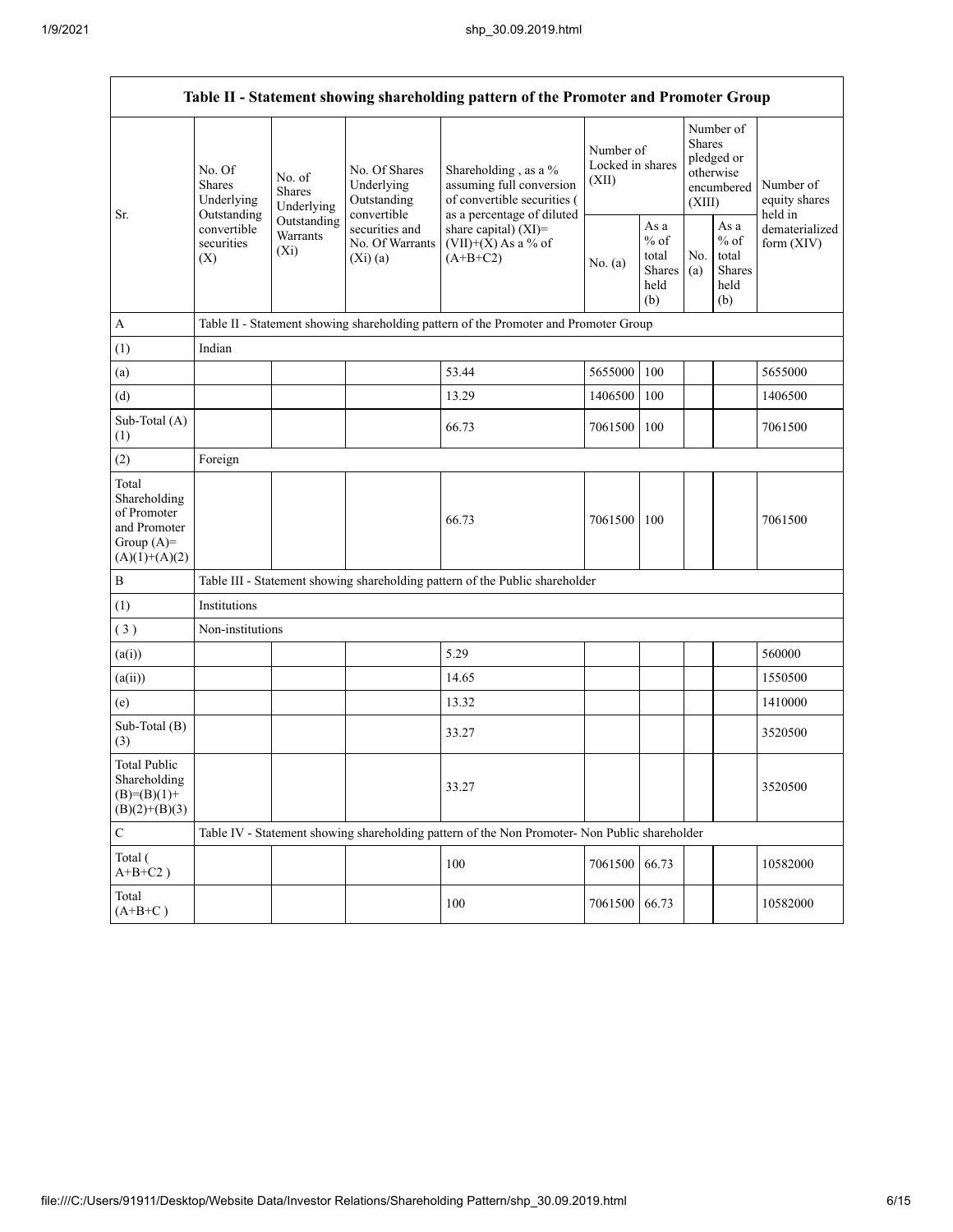|                                                                                         | Table II - Statement showing shareholding pattern of the Promoter and Promoter Group                                                                             |                                                           |                                                                                                               |                                                                                               |               |                                                                        |            |                                                            |                                |
|-----------------------------------------------------------------------------------------|------------------------------------------------------------------------------------------------------------------------------------------------------------------|-----------------------------------------------------------|---------------------------------------------------------------------------------------------------------------|-----------------------------------------------------------------------------------------------|---------------|------------------------------------------------------------------------|------------|------------------------------------------------------------|--------------------------------|
| Sr.                                                                                     | No. Of<br>No. of<br>Shares<br><b>Shares</b><br>Underlying<br>Underlying<br>Outstanding<br>Outstanding<br>convertible<br>Warrants<br>securities<br>$(X_i)$<br>(X) | No. Of Shares<br>Underlying<br>Outstanding<br>convertible | Shareholding, as a %<br>assuming full conversion<br>of convertible securities (<br>as a percentage of diluted | Number of<br>Locked in shares<br>(XII)                                                        |               | Number of<br>Shares<br>pledged or<br>otherwise<br>encumbered<br>(XIII) |            | Number of<br>equity shares<br>held in                      |                                |
|                                                                                         |                                                                                                                                                                  |                                                           | securities and<br>No. Of Warrants<br>(Xi)(a)                                                                  | share capital) (XI)=<br>$(VII)+(X)$ As a % of<br>$(A+B+C2)$                                   | No. (a)       | As a<br>$%$ of<br>total<br><b>Shares</b><br>held<br>(b)                | No.<br>(a) | As $\mathbf a$<br>$%$ of<br>total<br>Shares<br>held<br>(b) | dematerialized<br>form $(XIV)$ |
| $\boldsymbol{A}$                                                                        |                                                                                                                                                                  |                                                           |                                                                                                               | Table II - Statement showing shareholding pattern of the Promoter and Promoter Group          |               |                                                                        |            |                                                            |                                |
| (1)                                                                                     | Indian                                                                                                                                                           |                                                           |                                                                                                               |                                                                                               |               |                                                                        |            |                                                            |                                |
| (a)                                                                                     |                                                                                                                                                                  |                                                           |                                                                                                               | 53.44                                                                                         | 5655000       | 100                                                                    |            |                                                            | 5655000                        |
| (d)                                                                                     |                                                                                                                                                                  |                                                           |                                                                                                               | 13.29                                                                                         | 1406500       | 100                                                                    |            |                                                            | 1406500                        |
| Sub-Total (A)<br>(1)                                                                    |                                                                                                                                                                  |                                                           |                                                                                                               | 66.73                                                                                         | 7061500       | 100                                                                    |            |                                                            | 7061500                        |
| (2)                                                                                     | Foreign                                                                                                                                                          |                                                           |                                                                                                               |                                                                                               |               |                                                                        |            |                                                            |                                |
| Total<br>Shareholding<br>of Promoter<br>and Promoter<br>Group $(A)=$<br>$(A)(1)+(A)(2)$ |                                                                                                                                                                  |                                                           |                                                                                                               | 66.73                                                                                         | 7061500       | 100                                                                    |            |                                                            | 7061500                        |
| $\, {\bf B}$                                                                            |                                                                                                                                                                  |                                                           |                                                                                                               | Table III - Statement showing shareholding pattern of the Public shareholder                  |               |                                                                        |            |                                                            |                                |
| (1)                                                                                     | Institutions                                                                                                                                                     |                                                           |                                                                                                               |                                                                                               |               |                                                                        |            |                                                            |                                |
| (3)                                                                                     | Non-institutions                                                                                                                                                 |                                                           |                                                                                                               |                                                                                               |               |                                                                        |            |                                                            |                                |
| (a(i))                                                                                  |                                                                                                                                                                  |                                                           |                                                                                                               | 5.29                                                                                          |               |                                                                        |            |                                                            | 560000                         |
| (a(ii))                                                                                 |                                                                                                                                                                  |                                                           |                                                                                                               | 14.65                                                                                         |               |                                                                        |            |                                                            | 1550500                        |
| (e)                                                                                     |                                                                                                                                                                  |                                                           |                                                                                                               | 13.32                                                                                         |               |                                                                        |            |                                                            | 1410000                        |
| Sub-Total (B)<br>(3)                                                                    |                                                                                                                                                                  |                                                           |                                                                                                               | 33.27                                                                                         |               |                                                                        |            |                                                            | 3520500                        |
| <b>Total Public</b><br>Shareholding<br>$(B)=(B)(1)+$<br>$(B)(2)+(B)(3)$                 |                                                                                                                                                                  |                                                           |                                                                                                               | 33.27                                                                                         |               |                                                                        |            |                                                            | 3520500                        |
| $\mathbf C$                                                                             |                                                                                                                                                                  |                                                           |                                                                                                               | Table IV - Statement showing shareholding pattern of the Non Promoter- Non Public shareholder |               |                                                                        |            |                                                            |                                |
| Total (<br>$A+B+C2$ )                                                                   |                                                                                                                                                                  |                                                           |                                                                                                               | 100                                                                                           | 7061500       | 66.73                                                                  |            |                                                            | 10582000                       |
| Total<br>$(A+B+C)$                                                                      |                                                                                                                                                                  |                                                           |                                                                                                               | 100                                                                                           | 7061500 66.73 |                                                                        |            |                                                            | 10582000                       |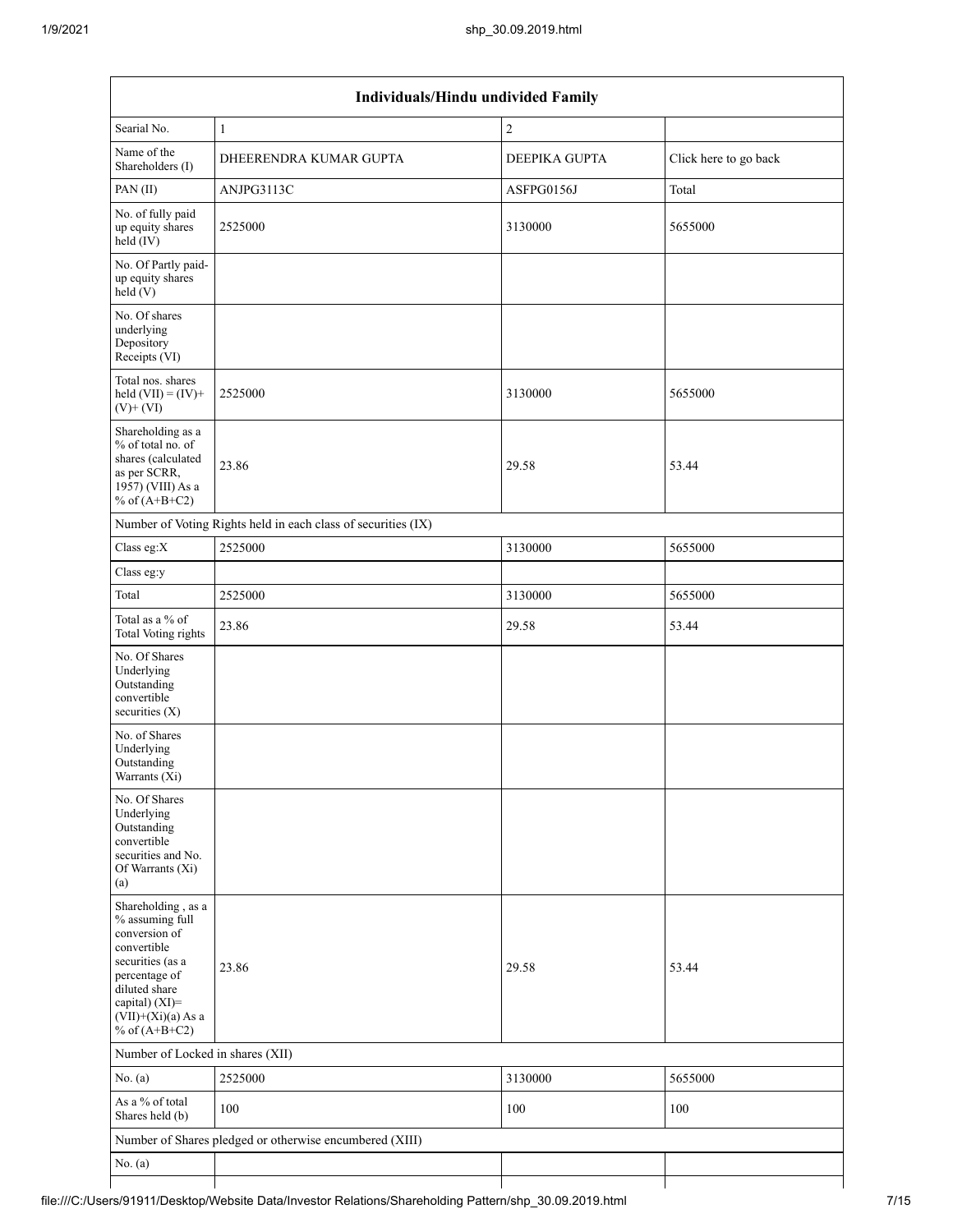| Individuals/Hindu undivided Family                                                                                                                                                       |                                                               |               |                       |  |  |  |  |
|------------------------------------------------------------------------------------------------------------------------------------------------------------------------------------------|---------------------------------------------------------------|---------------|-----------------------|--|--|--|--|
| Searial No.                                                                                                                                                                              | $\mathbf{1}$                                                  | $\sqrt{2}$    |                       |  |  |  |  |
| Name of the<br>Shareholders (I)                                                                                                                                                          | DHEERENDRA KUMAR GUPTA                                        | DEEPIKA GUPTA | Click here to go back |  |  |  |  |
| PAN(II)                                                                                                                                                                                  | ANJPG3113C                                                    | ASFPG0156J    | Total                 |  |  |  |  |
| No. of fully paid<br>up equity shares<br>$held$ (IV)                                                                                                                                     | 2525000                                                       | 3130000       | 5655000               |  |  |  |  |
| No. Of Partly paid-<br>up equity shares<br>held(V)                                                                                                                                       |                                                               |               |                       |  |  |  |  |
| No. Of shares<br>underlying<br>Depository<br>Receipts (VI)                                                                                                                               |                                                               |               |                       |  |  |  |  |
| Total nos. shares<br>held $(VII) = (IV) +$<br>$(V)$ + $(VI)$                                                                                                                             | 2525000                                                       | 3130000       | 5655000               |  |  |  |  |
| Shareholding as a<br>% of total no. of<br>shares (calculated<br>as per SCRR,<br>1957) (VIII) As a<br>% of $(A+B+C2)$                                                                     | 23.86                                                         | 29.58         | 53.44                 |  |  |  |  |
|                                                                                                                                                                                          | Number of Voting Rights held in each class of securities (IX) |               |                       |  |  |  |  |
| Class eg:X                                                                                                                                                                               | 2525000                                                       | 3130000       | 5655000               |  |  |  |  |
| Class eg:y                                                                                                                                                                               |                                                               |               |                       |  |  |  |  |
| Total                                                                                                                                                                                    | 2525000                                                       | 3130000       | 5655000               |  |  |  |  |
| Total as a % of<br><b>Total Voting rights</b>                                                                                                                                            | 23.86                                                         | 29.58         | 53.44                 |  |  |  |  |
| No. Of Shares<br>Underlying<br>Outstanding<br>convertible<br>securities $(X)$                                                                                                            |                                                               |               |                       |  |  |  |  |
| No. of Shares<br>Underlying<br>Outstanding<br>Warrants (Xi)                                                                                                                              |                                                               |               |                       |  |  |  |  |
| No. Of Shares<br>Underlying<br>Outstanding<br>convertible<br>securities and No.<br>Of Warrants (Xi)<br>(a)                                                                               |                                                               |               |                       |  |  |  |  |
| Shareholding, as a<br>% assuming full<br>conversion of<br>convertible<br>securities (as a<br>percentage of<br>diluted share<br>capital) (XI)=<br>$(VII)+(Xi)(a)$ As a<br>% of $(A+B+C2)$ | 23.86                                                         | 29.58         | 53.44                 |  |  |  |  |
| Number of Locked in shares (XII)                                                                                                                                                         |                                                               |               |                       |  |  |  |  |
| No. (a)                                                                                                                                                                                  | 2525000                                                       | 3130000       | 5655000               |  |  |  |  |
| As a % of total<br>Shares held (b)                                                                                                                                                       | 100                                                           | 100           | 100                   |  |  |  |  |
|                                                                                                                                                                                          | Number of Shares pledged or otherwise encumbered (XIII)       |               |                       |  |  |  |  |
| No. $(a)$                                                                                                                                                                                |                                                               |               |                       |  |  |  |  |
|                                                                                                                                                                                          |                                                               |               |                       |  |  |  |  |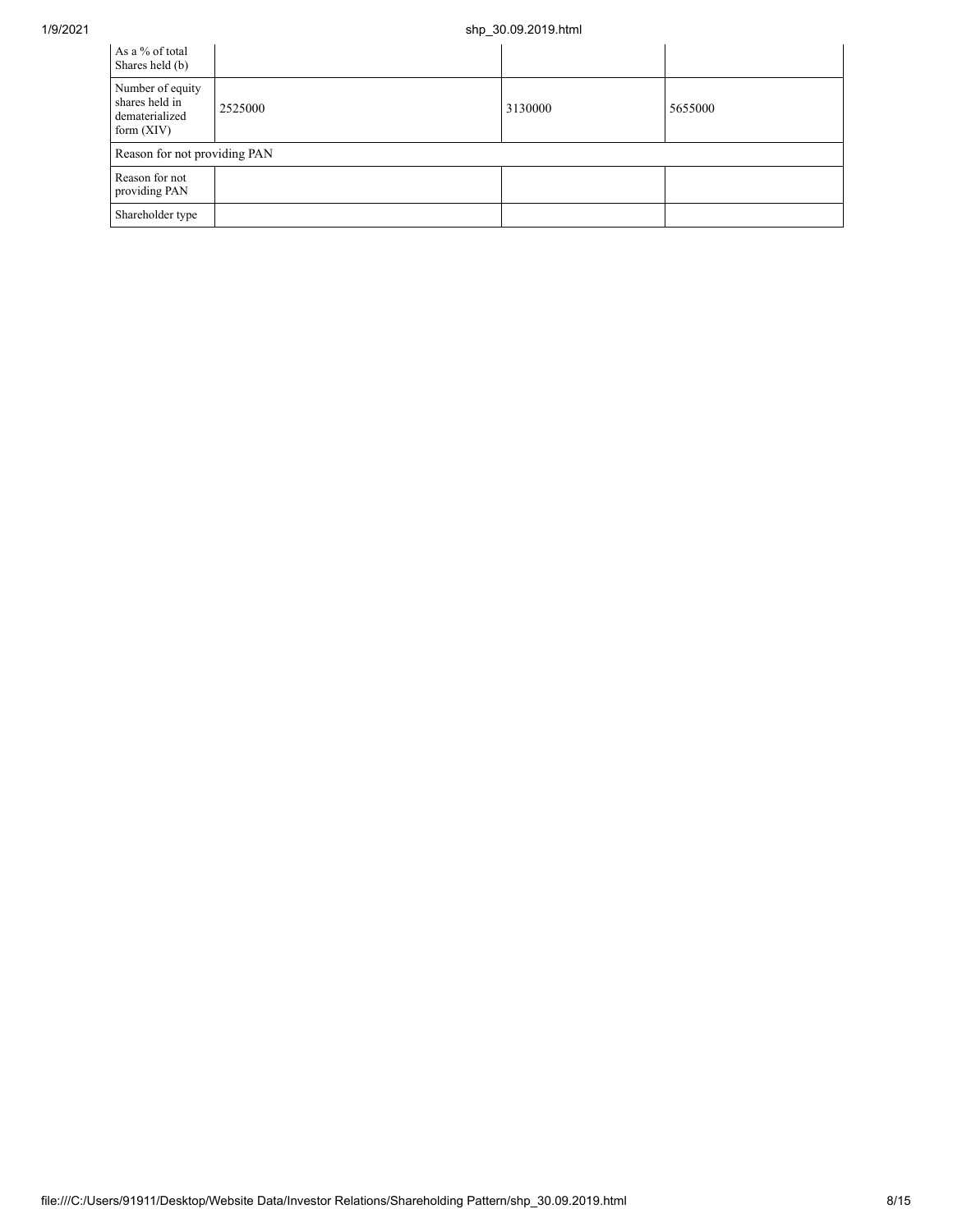## 1/9/2021 shp\_30.09.2019.html

| As a % of total<br>Shares held (b)                                   |         |         |         |
|----------------------------------------------------------------------|---------|---------|---------|
| Number of equity<br>shares held in<br>dematerialized<br>form $(XIV)$ | 2525000 | 3130000 | 5655000 |
| Reason for not providing PAN                                         |         |         |         |
| Reason for not<br>providing PAN                                      |         |         |         |
| Shareholder type                                                     |         |         |         |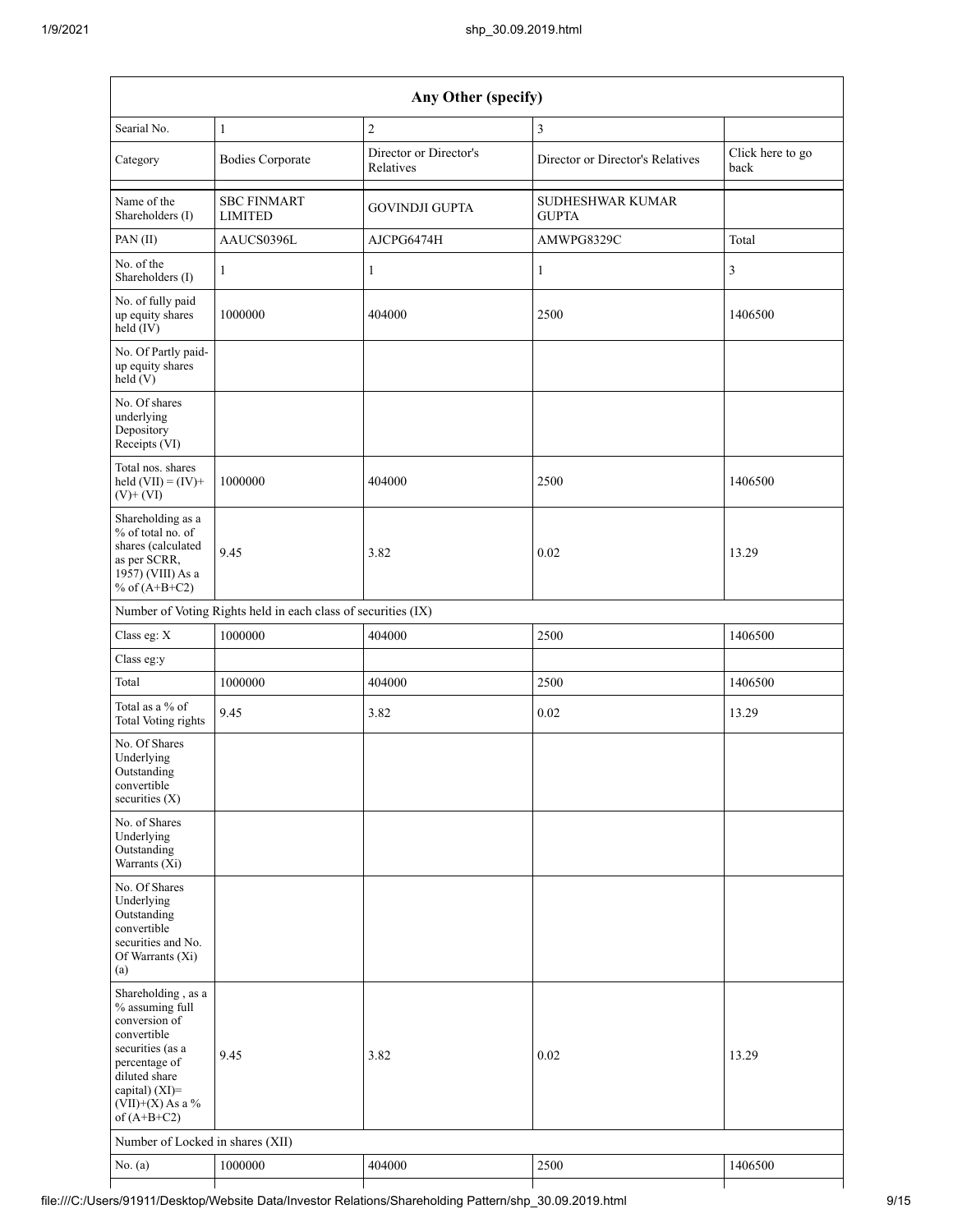| Any Other (specify)                                                                                                                                                                  |                                                               |                                     |                                         |                          |  |  |
|--------------------------------------------------------------------------------------------------------------------------------------------------------------------------------------|---------------------------------------------------------------|-------------------------------------|-----------------------------------------|--------------------------|--|--|
| Searial No.                                                                                                                                                                          | $\mathbf{1}$                                                  | $\sqrt{2}$                          | 3                                       |                          |  |  |
| Category                                                                                                                                                                             | <b>Bodies Corporate</b>                                       | Director or Director's<br>Relatives | Director or Director's Relatives        | Click here to go<br>back |  |  |
| Name of the<br>Shareholders (I)                                                                                                                                                      | <b>SBC FINMART</b><br><b>LIMITED</b>                          | <b>GOVINDJI GUPTA</b>               | <b>SUDHESHWAR KUMAR</b><br><b>GUPTA</b> |                          |  |  |
| PAN (II)                                                                                                                                                                             | AAUCS0396L                                                    | AJCPG6474H                          | AMWPG8329C                              | Total                    |  |  |
| No. of the<br>Shareholders (I)                                                                                                                                                       | $\mathbf{1}$                                                  | $\mathbf{1}$                        | $\mathbf{1}$                            | 3                        |  |  |
| No. of fully paid<br>up equity shares<br>held (IV)                                                                                                                                   | 1000000                                                       | 404000                              | 2500                                    | 1406500                  |  |  |
| No. Of Partly paid-<br>up equity shares<br>held (V)                                                                                                                                  |                                                               |                                     |                                         |                          |  |  |
| No. Of shares<br>underlying<br>Depository<br>Receipts (VI)                                                                                                                           |                                                               |                                     |                                         |                          |  |  |
| Total nos. shares<br>held $(VII) = (IV) +$<br>$(V)$ + $(VI)$                                                                                                                         | 1000000                                                       | 404000                              | 2500                                    | 1406500                  |  |  |
| Shareholding as a<br>% of total no. of<br>shares (calculated<br>as per SCRR,<br>1957) (VIII) As a<br>% of $(A+B+C2)$                                                                 | 9.45                                                          | 3.82                                | 0.02                                    | 13.29                    |  |  |
|                                                                                                                                                                                      | Number of Voting Rights held in each class of securities (IX) |                                     |                                         |                          |  |  |
| Class eg: X                                                                                                                                                                          | 1000000                                                       | 404000                              | 2500                                    | 1406500                  |  |  |
| Class eg:y                                                                                                                                                                           |                                                               |                                     |                                         |                          |  |  |
| Total                                                                                                                                                                                | 1000000                                                       | 404000                              | 2500                                    | 1406500                  |  |  |
| Total as a % of<br><b>Total Voting rights</b>                                                                                                                                        | 9.45                                                          | 3.82                                | 0.02                                    | 13.29                    |  |  |
| No. Of Shares<br>Underlying<br>Outstanding<br>convertible<br>securities $(X)$                                                                                                        |                                                               |                                     |                                         |                          |  |  |
| No. of Shares<br>Underlying<br>Outstanding<br>Warrants (Xi)                                                                                                                          |                                                               |                                     |                                         |                          |  |  |
| No. Of Shares<br>Underlying<br>Outstanding<br>convertible<br>securities and No.<br>Of Warrants (Xi)<br>(a)                                                                           |                                                               |                                     |                                         |                          |  |  |
| Shareholding, as a<br>% assuming full<br>conversion of<br>convertible<br>securities (as a<br>percentage of<br>diluted share<br>capital) (XI)=<br>$(VII)+(X)$ As a %<br>of $(A+B+C2)$ | 9.45                                                          | 3.82                                | 0.02                                    | 13.29                    |  |  |
| Number of Locked in shares (XII)                                                                                                                                                     |                                                               |                                     |                                         |                          |  |  |
| No. (a)                                                                                                                                                                              | 1000000                                                       | 404000                              | 2500                                    | 1406500                  |  |  |
|                                                                                                                                                                                      |                                                               |                                     |                                         |                          |  |  |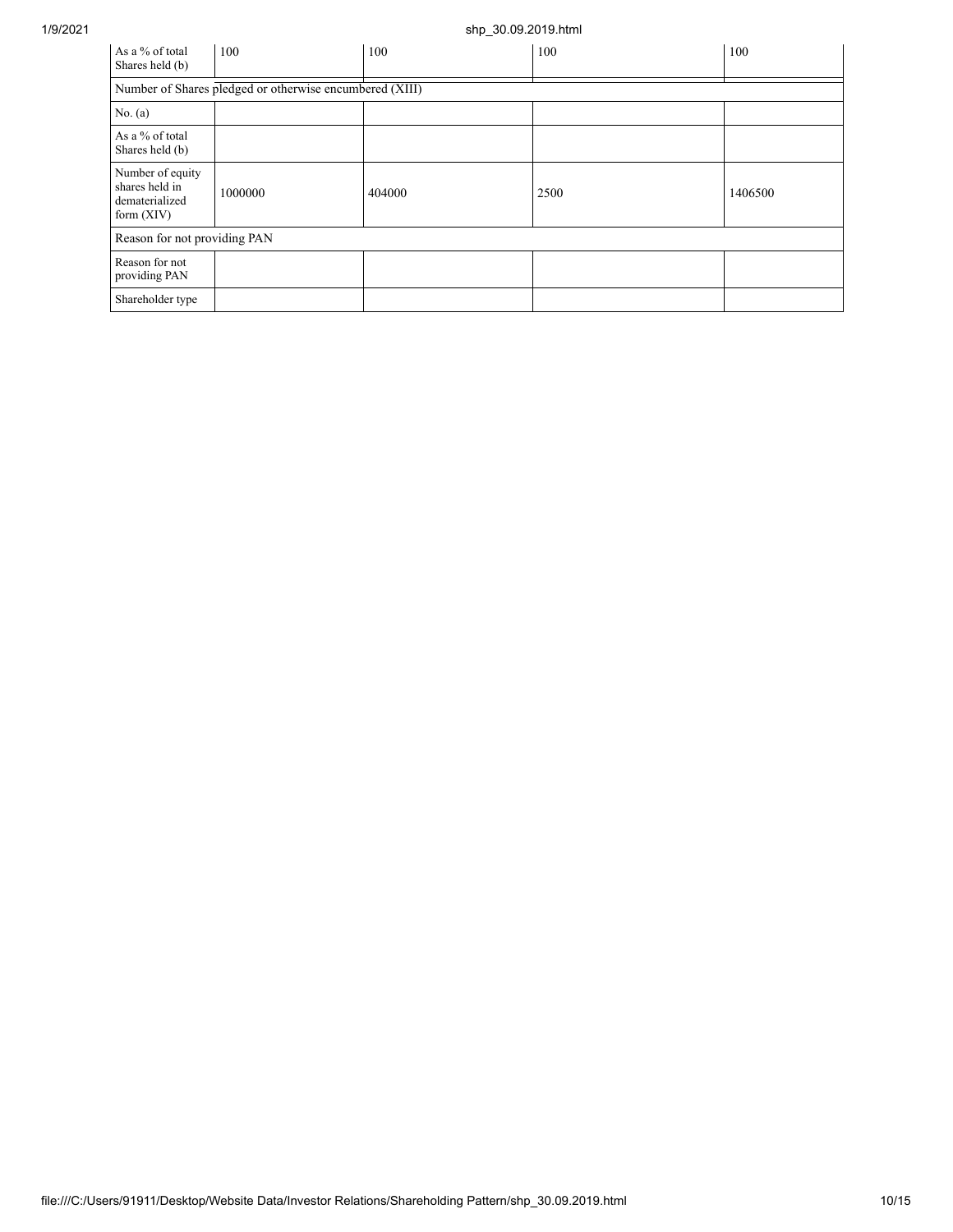## 1/9/2021 shp\_30.09.2019.html

| As a % of total<br>Shares held (b)                                   | 100     | 100    | 100  | 100     |  |  |  |
|----------------------------------------------------------------------|---------|--------|------|---------|--|--|--|
| Number of Shares pledged or otherwise encumbered (XIII)              |         |        |      |         |  |  |  |
| No. (a)                                                              |         |        |      |         |  |  |  |
| As a % of total<br>Shares held (b)                                   |         |        |      |         |  |  |  |
| Number of equity<br>shares held in<br>dematerialized<br>form $(XIV)$ | 1000000 | 404000 | 2500 | 1406500 |  |  |  |
| Reason for not providing PAN                                         |         |        |      |         |  |  |  |
| Reason for not<br>providing PAN                                      |         |        |      |         |  |  |  |
| Shareholder type                                                     |         |        |      |         |  |  |  |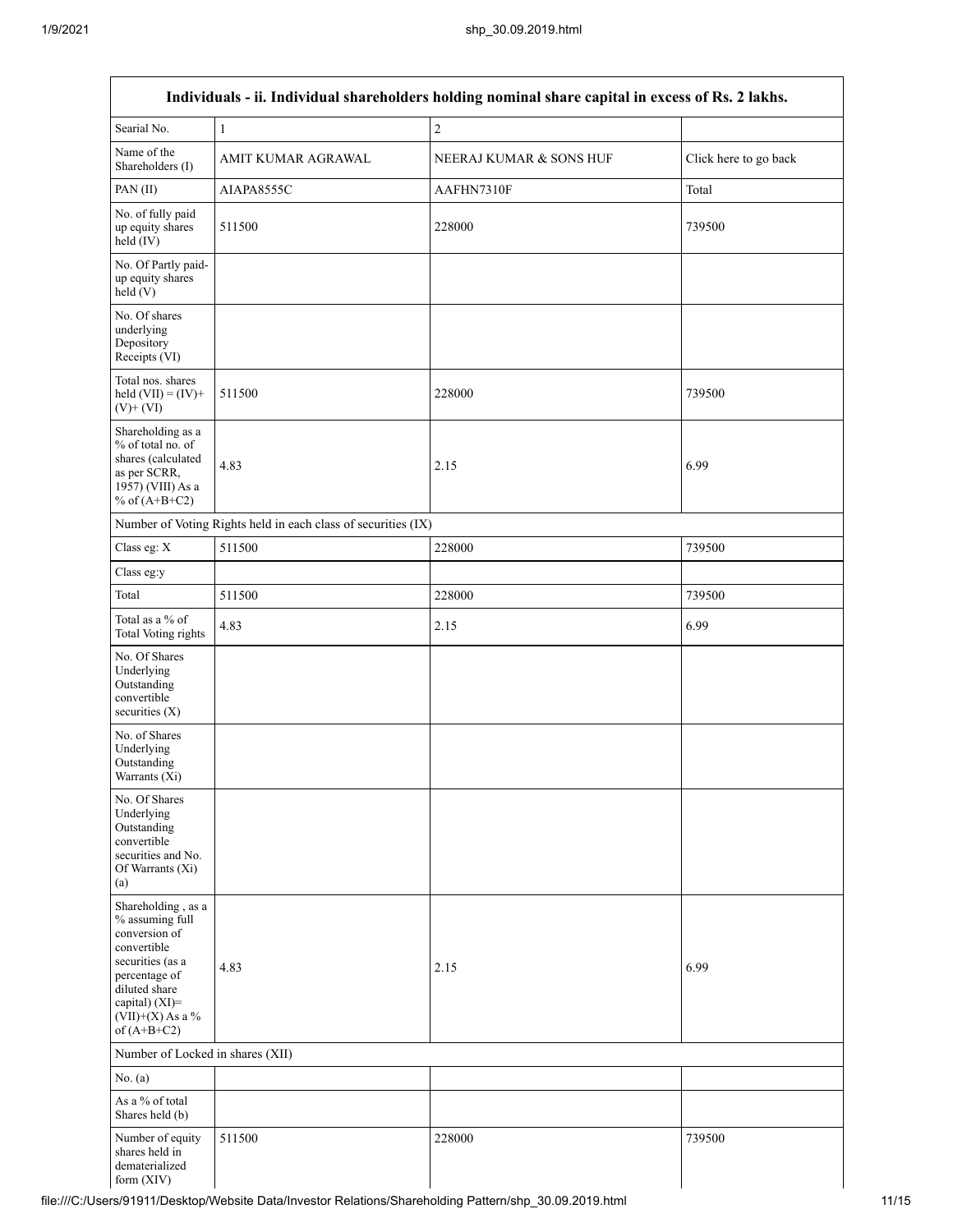| Individuals - ii. Individual shareholders holding nominal share capital in excess of Rs. 2 lakhs.                                                                                    |                                                               |                         |                       |  |  |  |
|--------------------------------------------------------------------------------------------------------------------------------------------------------------------------------------|---------------------------------------------------------------|-------------------------|-----------------------|--|--|--|
| Searial No.                                                                                                                                                                          | $\,1\,$                                                       | $\overline{c}$          |                       |  |  |  |
| Name of the<br>Shareholders (I)                                                                                                                                                      | AMIT KUMAR AGRAWAL                                            | NEERAJ KUMAR & SONS HUF | Click here to go back |  |  |  |
| PAN(II)                                                                                                                                                                              | AIAPA8555C                                                    | AAFHN7310F              | Total                 |  |  |  |
| No. of fully paid<br>up equity shares<br>held (IV)                                                                                                                                   | 511500                                                        | 228000                  | 739500                |  |  |  |
| No. Of Partly paid-<br>up equity shares<br>held(V)                                                                                                                                   |                                                               |                         |                       |  |  |  |
| No. Of shares<br>underlying<br>Depository<br>Receipts (VI)                                                                                                                           |                                                               |                         |                       |  |  |  |
| Total nos. shares<br>held $(VII) = (IV) +$<br>$(V)$ + $(VI)$                                                                                                                         | 511500                                                        | 228000                  | 739500                |  |  |  |
| Shareholding as a<br>% of total no. of<br>shares (calculated<br>as per SCRR,<br>1957) (VIII) As a<br>% of $(A+B+C2)$                                                                 | 4.83                                                          | 2.15                    | 6.99                  |  |  |  |
|                                                                                                                                                                                      | Number of Voting Rights held in each class of securities (IX) |                         |                       |  |  |  |
| Class eg: X                                                                                                                                                                          | 511500                                                        | 228000                  | 739500                |  |  |  |
| Class eg:y                                                                                                                                                                           |                                                               |                         |                       |  |  |  |
| Total                                                                                                                                                                                | 511500                                                        | 228000                  | 739500                |  |  |  |
| Total as a % of<br>Total Voting rights                                                                                                                                               | 4.83                                                          | 2.15                    | 6.99                  |  |  |  |
| No. Of Shares<br>Underlying<br>Outstanding<br>convertible<br>securities $(X)$                                                                                                        |                                                               |                         |                       |  |  |  |
| No. of Shares<br>Underlying<br>Outstanding<br>Warrants (Xi)                                                                                                                          |                                                               |                         |                       |  |  |  |
| No. Of Shares<br>Underlying<br>Outstanding<br>convertible<br>securities and No.<br>Of Warrants (Xi)<br>(a)                                                                           |                                                               |                         |                       |  |  |  |
| Shareholding, as a<br>% assuming full<br>conversion of<br>convertible<br>securities (as a<br>percentage of<br>diluted share<br>capital) (XI)=<br>$(VII)+(X)$ As a %<br>of $(A+B+C2)$ | 4.83                                                          | 2.15                    | 6.99                  |  |  |  |
| Number of Locked in shares (XII)                                                                                                                                                     |                                                               |                         |                       |  |  |  |
| No. (a)                                                                                                                                                                              |                                                               |                         |                       |  |  |  |
| As a % of total<br>Shares held (b)                                                                                                                                                   |                                                               |                         |                       |  |  |  |
| Number of equity<br>shares held in<br>dematerialized<br>form (XIV)                                                                                                                   | 511500                                                        | 228000                  | 739500                |  |  |  |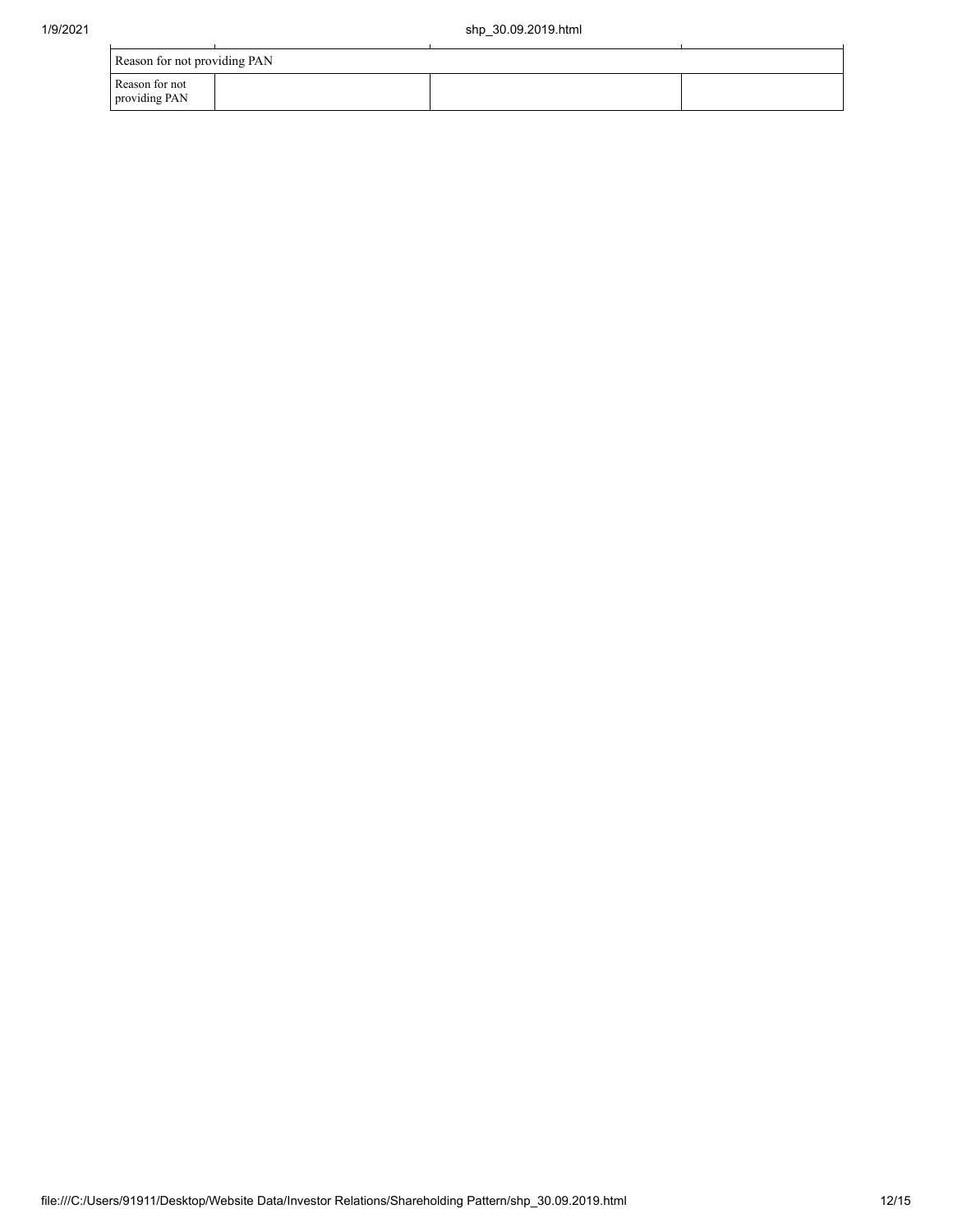| Reason for not providing PAN    |  |  |  |  |  |  |
|---------------------------------|--|--|--|--|--|--|
| Reason for not<br>providing PAN |  |  |  |  |  |  |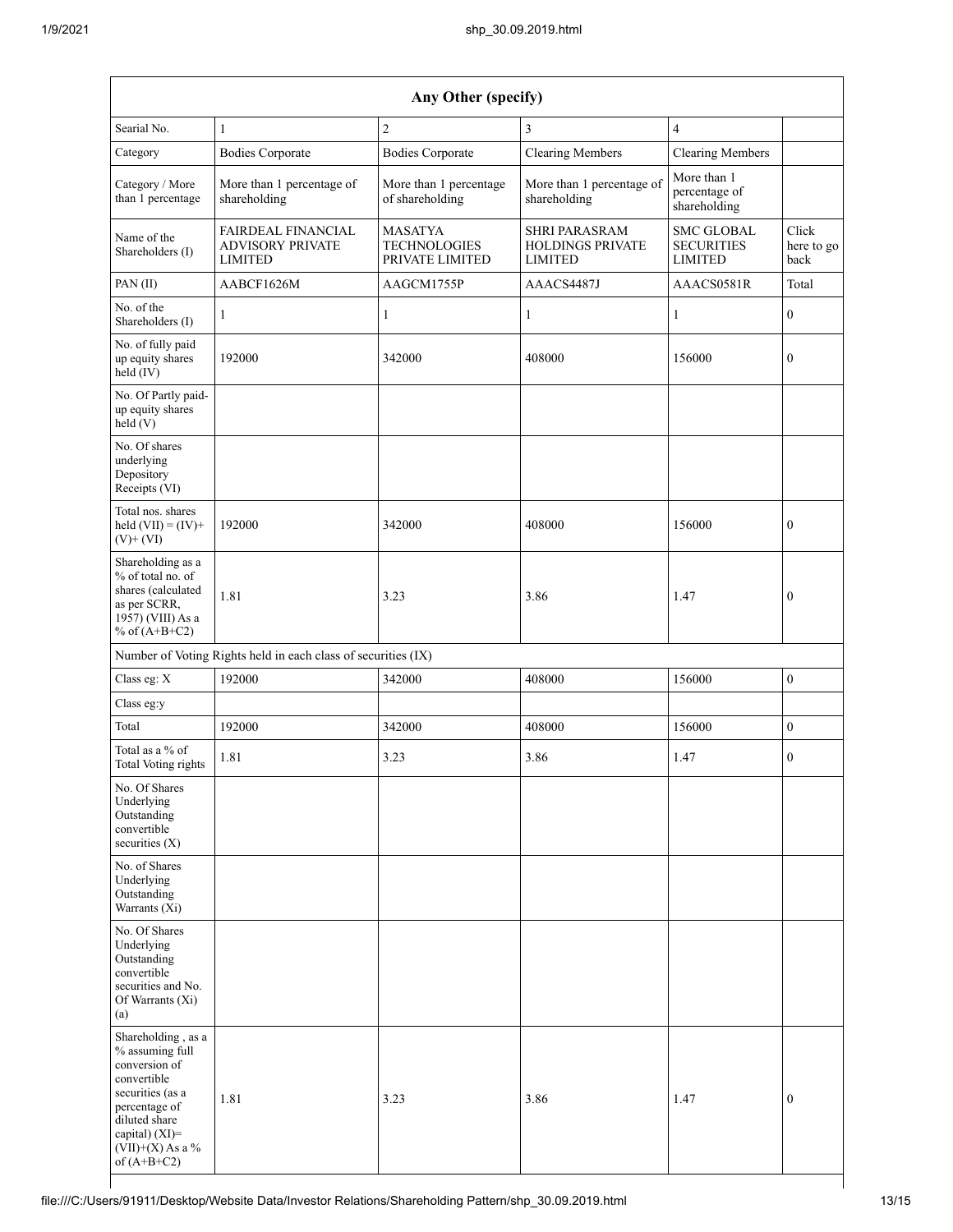| Any Other (specify)                                                                                                                                                                          |                                                                        |                                           |                                                                   |                                                          |                             |  |  |  |  |  |
|----------------------------------------------------------------------------------------------------------------------------------------------------------------------------------------------|------------------------------------------------------------------------|-------------------------------------------|-------------------------------------------------------------------|----------------------------------------------------------|-----------------------------|--|--|--|--|--|
| Searial No.                                                                                                                                                                                  | 1                                                                      | $\overline{c}$                            | 3                                                                 | $\overline{4}$                                           |                             |  |  |  |  |  |
| Category                                                                                                                                                                                     | <b>Bodies Corporate</b>                                                | <b>Bodies Corporate</b>                   | <b>Clearing Members</b>                                           | <b>Clearing Members</b>                                  |                             |  |  |  |  |  |
| Category / More<br>than 1 percentage                                                                                                                                                         | More than 1 percentage of<br>shareholding                              | More than 1 percentage<br>of shareholding | More than 1 percentage of<br>shareholding                         | More than 1<br>percentage of<br>shareholding             |                             |  |  |  |  |  |
| Name of the<br>Shareholders (I)                                                                                                                                                              | <b>FAIRDEAL FINANCIAL</b><br><b>ADVISORY PRIVATE</b><br><b>LIMITED</b> |                                           | <b>SHRI PARASRAM</b><br><b>HOLDINGS PRIVATE</b><br><b>LIMITED</b> | <b>SMC GLOBAL</b><br><b>SECURITIES</b><br><b>LIMITED</b> | Click<br>here to go<br>back |  |  |  |  |  |
| PAN (II)                                                                                                                                                                                     | AABCF1626M                                                             | AAGCM1755P                                | AAACS4487J                                                        | AAACS0581R                                               | Total                       |  |  |  |  |  |
| No. of the<br>Shareholders (I)                                                                                                                                                               | 1                                                                      | 1                                         | 1                                                                 | 1                                                        | $\boldsymbol{0}$            |  |  |  |  |  |
| No. of fully paid<br>up equity shares<br>held (IV)                                                                                                                                           | 192000                                                                 | 342000                                    | 408000                                                            | 156000                                                   | $\boldsymbol{0}$            |  |  |  |  |  |
| No. Of Partly paid-<br>up equity shares<br>held (V)                                                                                                                                          |                                                                        |                                           |                                                                   |                                                          |                             |  |  |  |  |  |
| No. Of shares<br>underlying<br>Depository<br>Receipts (VI)                                                                                                                                   |                                                                        |                                           |                                                                   |                                                          |                             |  |  |  |  |  |
| Total nos. shares<br>held $(VII) = (IV) +$<br>$(V)$ + $(VI)$                                                                                                                                 | 192000                                                                 | 342000                                    | 408000                                                            | 156000                                                   | $\boldsymbol{0}$            |  |  |  |  |  |
| Shareholding as a<br>% of total no. of<br>shares (calculated<br>1.81<br>as per SCRR,<br>1957) (VIII) As a<br>% of $(A+B+C2)$                                                                 |                                                                        | 3.23                                      | 3.86                                                              | 1.47                                                     | $\boldsymbol{0}$            |  |  |  |  |  |
|                                                                                                                                                                                              | Number of Voting Rights held in each class of securities (IX)          |                                           |                                                                   |                                                          |                             |  |  |  |  |  |
| Class eg: X                                                                                                                                                                                  | 192000                                                                 | 342000                                    | 408000                                                            | 156000                                                   | $\boldsymbol{0}$            |  |  |  |  |  |
| Class eg:y                                                                                                                                                                                   |                                                                        |                                           |                                                                   |                                                          |                             |  |  |  |  |  |
| Total                                                                                                                                                                                        | 192000                                                                 | 342000                                    | 408000                                                            | 156000                                                   | $\boldsymbol{0}$            |  |  |  |  |  |
| Total as a % of<br>Total Voting rights                                                                                                                                                       | 1.81                                                                   | 3.23                                      | 3.86                                                              | 1.47                                                     | $\boldsymbol{0}$            |  |  |  |  |  |
| No. Of Shares<br>Underlying<br>Outstanding<br>convertible<br>securities $(X)$                                                                                                                |                                                                        |                                           |                                                                   |                                                          |                             |  |  |  |  |  |
| No. of Shares<br>Underlying<br>Outstanding<br>Warrants (Xi)                                                                                                                                  |                                                                        |                                           |                                                                   |                                                          |                             |  |  |  |  |  |
| No. Of Shares<br>Underlying<br>Outstanding<br>convertible<br>securities and No.<br>Of Warrants (Xi)<br>(a)                                                                                   |                                                                        |                                           |                                                                   |                                                          |                             |  |  |  |  |  |
| Shareholding, as a<br>% assuming full<br>conversion of<br>convertible<br>securities (as a<br>1.81<br>percentage of<br>diluted share<br>capital) (XI)=<br>$(VII)+(X)$ As a %<br>of $(A+B+C2)$ |                                                                        | 3.23                                      | 3.86                                                              | 1.47                                                     | $\mathbf{0}$                |  |  |  |  |  |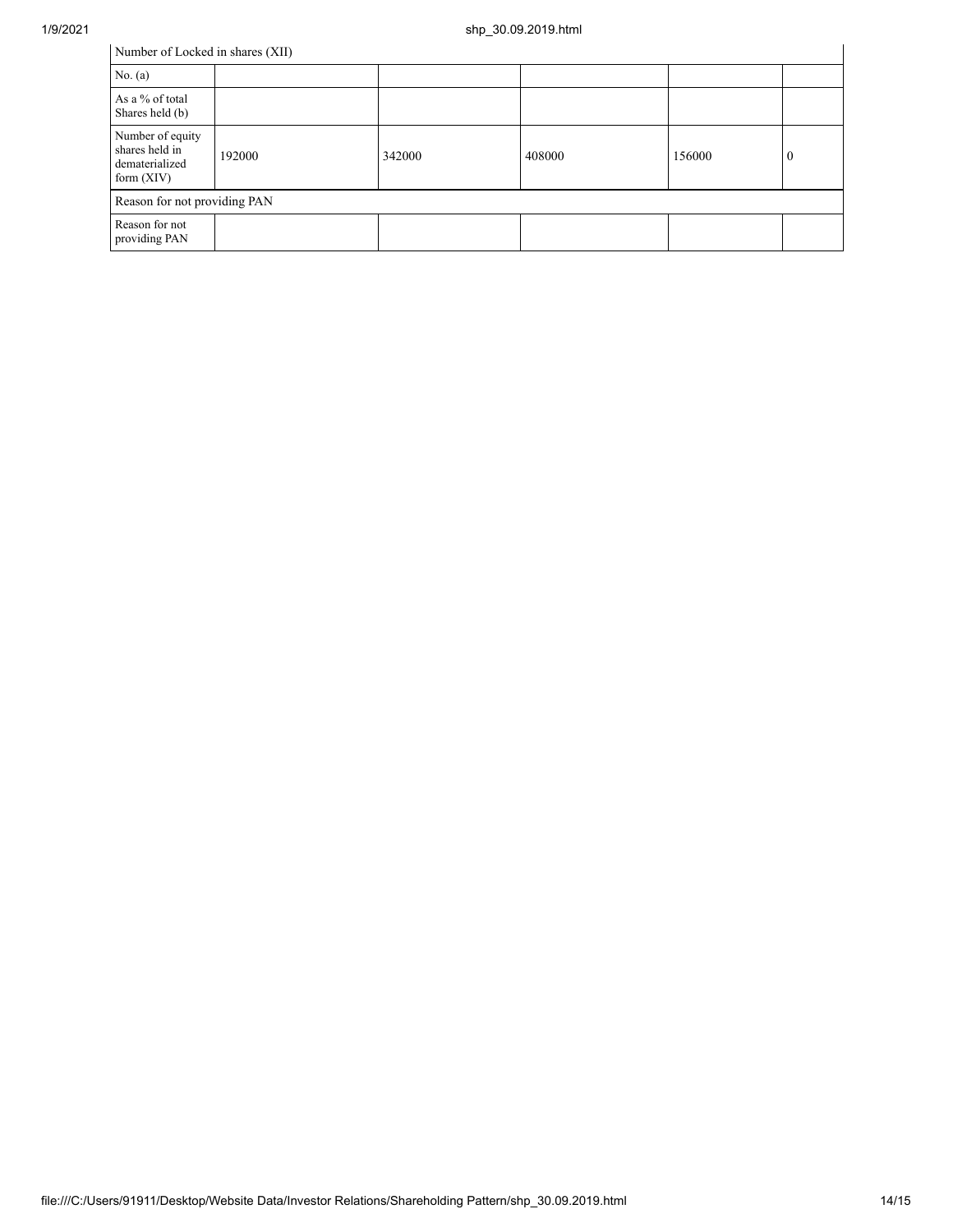| Number of Locked in shares (XII)                                     |        |        |        |        |          |  |  |  |  |
|----------------------------------------------------------------------|--------|--------|--------|--------|----------|--|--|--|--|
| No. (a)                                                              |        |        |        |        |          |  |  |  |  |
| As a % of total<br>Shares held (b)                                   |        |        |        |        |          |  |  |  |  |
| Number of equity<br>shares held in<br>dematerialized<br>form $(XIV)$ | 192000 | 342000 | 408000 | 156000 | $\bf{0}$ |  |  |  |  |
| Reason for not providing PAN                                         |        |        |        |        |          |  |  |  |  |
| Reason for not<br>providing PAN                                      |        |        |        |        |          |  |  |  |  |